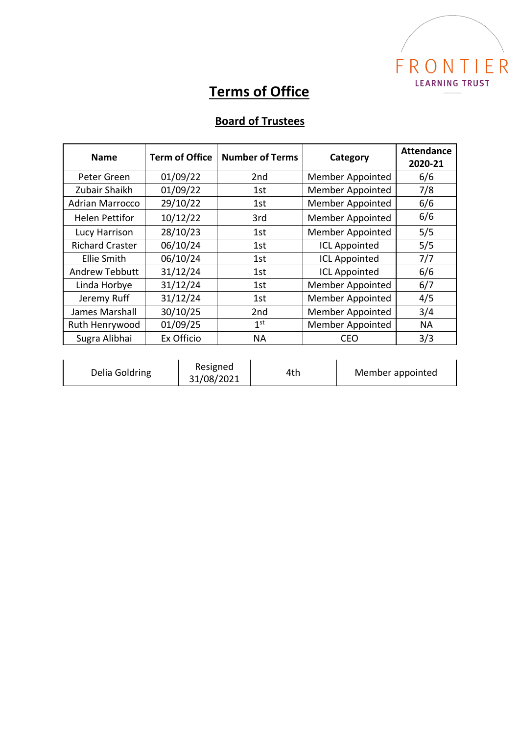

## **Terms of Office**

## **Board of Trustees**

| <b>Name</b>            | <b>Term of Office</b> | <b>Number of Terms</b> | Category                | <b>Attendance</b><br>2020-21 |
|------------------------|-----------------------|------------------------|-------------------------|------------------------------|
| Peter Green            | 01/09/22              | 2nd                    | <b>Member Appointed</b> | 6/6                          |
| Zubair Shaikh          | 01/09/22              | 1st                    | <b>Member Appointed</b> | 7/8                          |
| <b>Adrian Marrocco</b> | 29/10/22              | 1st                    | <b>Member Appointed</b> | 6/6                          |
| <b>Helen Pettifor</b>  | 10/12/22              | 3rd                    | <b>Member Appointed</b> | 6/6                          |
| Lucy Harrison          | 28/10/23              | 1st                    | <b>Member Appointed</b> | 5/5                          |
| <b>Richard Craster</b> | 06/10/24              | 1st                    | <b>ICL Appointed</b>    | 5/5                          |
| <b>Ellie Smith</b>     | 06/10/24              | 1st                    | <b>ICL Appointed</b>    | 7/7                          |
| Andrew Tebbutt         | 31/12/24              | 1st                    | <b>ICL Appointed</b>    | 6/6                          |
| Linda Horbye           | 31/12/24              | 1st                    | Member Appointed        | 6/7                          |
| Jeremy Ruff            | 31/12/24              | 1st                    | Member Appointed        | 4/5                          |
| James Marshall         | 30/10/25              | 2nd                    | <b>Member Appointed</b> | 3/4                          |
| Ruth Henrywood         | 01/09/25              | 1 <sup>st</sup>        | <b>Member Appointed</b> | NА                           |
| Sugra Alibhai          | Ex Officio            | <b>NA</b>              | CEO                     | 3/3                          |